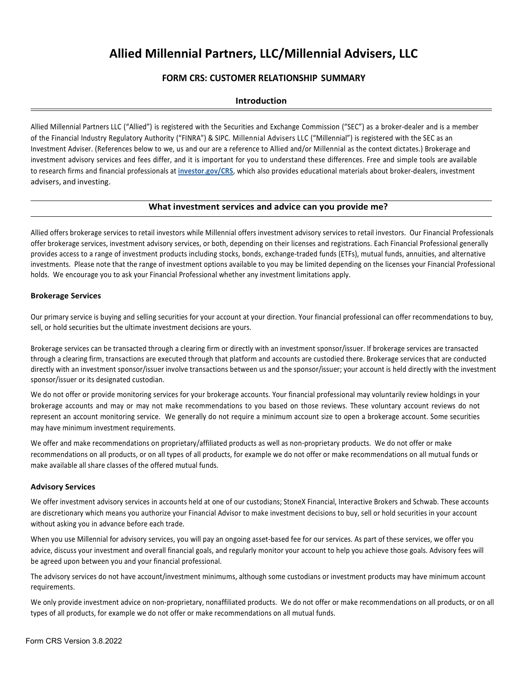# Allied Millennial Partners, LLC/Millennial Advisers, LLC

# FORM CRS: CUSTOMER RELATIONSHIP SUMMARY

# Introduction

Allied Millennial Partners LLC ("Allied") is registered with the Securities and Exchange Commission ("SEC") as a broker-dealer and is a member of the Financial Industry Regulatory Authority ("FINRA") & SIPC. Millennial Advisers LLC ("Millennial") is registered with the SEC as an Investment Adviser. (References below to we, us and our are a reference to Allied and/or Millennial as the context dictates.) Brokerage and investment advisory services and fees differ, and it is important for you to understand these differences. Free and simple tools are available to research firms and financial professionals at investor.gov/CRS, which also provides educational materials about broker-dealers, investment advisers, and investing.

### What investment services and advice can you provide me?

Allied offers brokerage services to retail investors while Millennial offers investment advisory services to retail investors. Our Financial Professionals offer brokerage services, investment advisory services, or both, depending on their licenses and registrations. Each Financial Professional generally provides access to a range of investment products including stocks, bonds, exchange-traded funds (ETFs), mutual funds, annuities, and alternative investments. Please note that the range of investment options available to you may be limited depending on the licenses your Financial Professional holds. We encourage you to ask your Financial Professional whether any investment limitations apply.

#### Brokerage Services

Our primary service is buying and selling securities for your account at your direction. Your financial professional can offer recommendations to buy, sell, or hold securities but the ultimate investment decisions are yours.

Brokerage services can be transacted through a clearing firm or directly with an investment sponsor/issuer. If brokerage services are transacted through a clearing firm, transactions are executed through that platform and accounts are custodied there. Brokerage services that are conducted directly with an investment sponsor/issuer involve transactions between us and the sponsor/issuer; your account is held directly with the investment sponsor/issuer or its designated custodian.

We do not offer or provide monitoring services for your brokerage accounts. Your financial professional may voluntarily review holdings in your brokerage accounts and may or may not make recommendations to you based on those reviews. These voluntary account reviews do not represent an account monitoring service. We generally do not require a minimum account size to open a brokerage account. Some securities may have minimum investment requirements.

We offer and make recommendations on proprietary/affiliated products as well as non-proprietary products. We do not offer or make recommendations on all products, or on all types of all products, for example we do not offer or make recommendations on all mutual funds or make available all share classes of the offered mutual funds.

### Advisory Services

We offer investment advisory services in accounts held at one of our custodians; StoneX Financial, Interactive Brokers and Schwab. These accounts are discretionary which means you authorize your Financial Advisor to make investment decisions to buy, sell or hold securities in your account without asking you in advance before each trade.

When you use Millennial for advisory services, you will pay an ongoing asset-based fee for our services. As part of these services, we offer you advice, discuss your investment and overall financial goals, and regularly monitor your account to help you achieve those goals. Advisory fees will be agreed upon between you and your financial professional.

The advisory services do not have account/investment minimums, although some custodians or investment products may have minimum account requirements.

We only provide investment advice on non-proprietary, nonaffiliated products. We do not offer or make recommendations on all products, or on all types of all products, for example we do not offer or make recommendations on all mutual funds.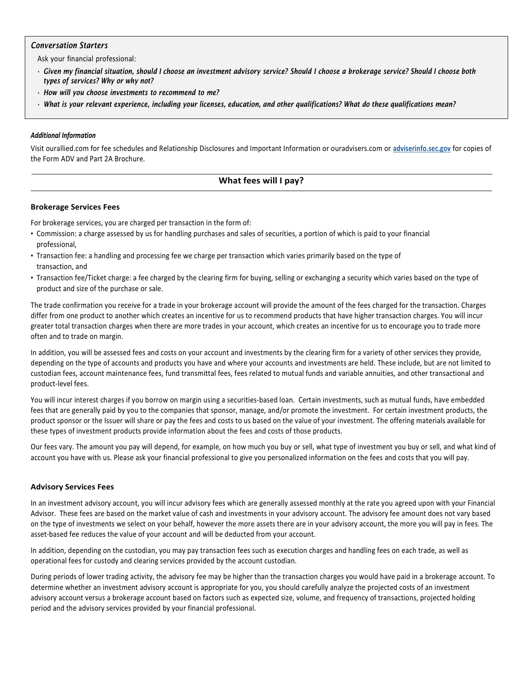#### Conversation Starters

Ask your financial professional:

- Given my financial situation, should I choose an investment advisory service? Should I choose a brokerage service? Should I choose both types of services? Why or why not?
- How will you choose investments to recommend to me?
- What is your relevant experience, including your licenses, education, and other qualifications? What do these qualifications mean?

#### Additional Information

Visit ourallied.com for fee schedules and Relationship Disclosures and Important Information or ouradvisers.com or adviserinfo.sec.gov for copies of the Form ADV and Part 2A Brochure.

# What fees will I pay?

#### Brokerage Services Fees

For brokerage services, you are charged per transaction in the form of:

- Commission: a charge assessed by us for handling purchases and sales of securities, a portion of which is paid to your financial professional,
- Transaction fee: a handling and processing fee we charge per transaction which varies primarily based on the type of transaction, and
- Transaction fee/Ticket charge: a fee charged by the clearing firm for buying, selling or exchanging a security which varies based on the type of product and size of the purchase or sale.

The trade confirmation you receive for a trade in your brokerage account will provide the amount of the fees charged for the transaction. Charges differ from one product to another which creates an incentive for us to recommend products that have higher transaction charges. You will incur greater total transaction charges when there are more trades in your account, which creates an incentive for us to encourage you to trade more often and to trade on margin.

In addition, you will be assessed fees and costs on your account and investments by the clearing firm for a variety of other services they provide, depending on the type of accounts and products you have and where your accounts and investments are held. These include, but are not limited to custodian fees, account maintenance fees, fund transmittal fees, fees related to mutual funds and variable annuities, and other transactional and product-level fees.

You will incur interest charges if you borrow on margin using a securities-based loan. Certain investments, such as mutual funds, have embedded fees that are generally paid by you to the companies that sponsor, manage, and/or promote the investment. For certain investment products, the product sponsor or the Issuer will share or pay the fees and costs to us based on the value of your investment. The offering materials available for these types of investment products provide information about the fees and costs of those products.

Our fees vary. The amount you pay will depend, for example, on how much you buy or sell, what type of investment you buy or sell, and what kind of account you have with us. Please ask your financial professional to give you personalized information on the fees and costs that you will pay.

### Advisory Services Fees

In an investment advisory account, you will incur advisory fees which are generally assessed monthly at the rate you agreed upon with your Financial Advisor. These fees are based on the market value of cash and investments in your advisory account. The advisory fee amount does not vary based on the type of investments we select on your behalf, however the more assets there are in your advisory account, the more you will pay in fees. The asset-based fee reduces the value of your account and will be deducted from your account.

In addition, depending on the custodian, you may pay transaction fees such as execution charges and handling fees on each trade, as well as operational fees for custody and clearing services provided by the account custodian.

During periods of lower trading activity, the advisory fee may be higher than the transaction charges you would have paid in a brokerage account. To determine whether an investment advisory account is appropriate for you, you should carefully analyze the projected costs of an investment advisory account versus a brokerage account based on factors such as expected size, volume, and frequency of transactions, projected holding period and the advisory services provided by your financial professional.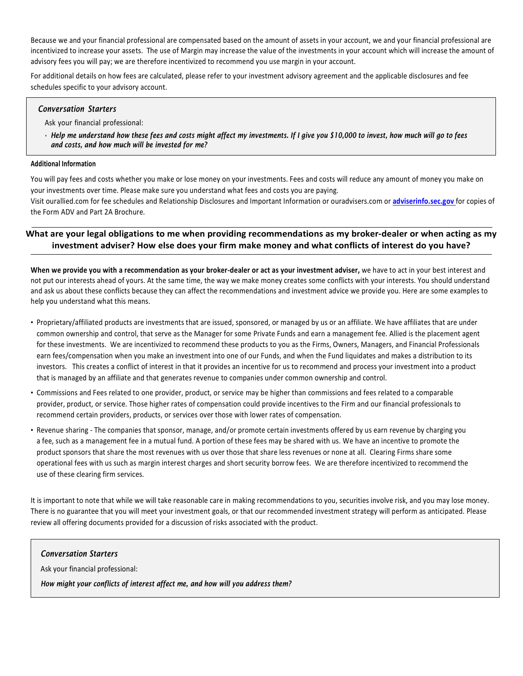Because we and your financial professional are compensated based on the amount of assets in your account, we and your financial professional are incentivized to increase your assets. The use of Margin may increase the value of the investments in your account which will increase the amount of advisory fees you will pay; we are therefore incentivized to recommend you use margin in your account.

For additional details on how fees are calculated, please refer to your investment advisory agreement and the applicable disclosures and fee schedules specific to your advisory account.

#### Conversation Starters

Ask your financial professional:

• Help me understand how these fees and costs might affect my investments. If I give you \$10,000 to invest, how much will go to fees and costs, and how much will be invested for me?

Additional Information<br>You will pay fees and costs whether you make or lose money on your investments. Fees and costs will reduce any amount of money you make on your investments over time. Please make sure you understand what fees and costs you are paying.

Visit ourallied.com for fee schedules and Relationship Disclosures and Important Information or ouradvisers.com or adviserinfo.sec.gov for copies of the Form ADV and Part 2A Brochure.

# What are your legal obligations to me when providing recommendations as my broker-dealer or when acting as my investment adviser? How else does your firm make money and what conflicts of interest do you have?

When we provide you with a recommendation as your broker-dealer or act as your investment adviser, we have to act in your best interest and not put our interests ahead of yours. At the same time, the way we make money creates some conflicts with your interests. You should understand and ask us about these conflicts because they can affect the recommendations and investment advice we provide you. Here are some examples to help you understand what this means.

- Proprietary/affiliated products are investments that are issued, sponsored, or managed by us or an affiliate. We have affiliates that are under common ownership and control, that serve as the Manager for some Private Funds and earn a management fee. Allied is the placement agent for these investments. We are incentivized to recommend these products to you as the Firms, Owners, Managers, and Financial Professionals earn fees/compensation when you make an investment into one of our Funds, and when the Fund liquidates and makes a distribution to its investors. This creates a conflict of interest in that it provides an incentive for us to recommend and process your investment into a product that is managed by an affiliate and that generates revenue to companies under common ownership and control.
- Commissions and Fees related to one provider, product, or service may be higher than commissions and fees related to a comparable provider, product, or service. Those higher rates of compensation could provide incentives to the Firm and our financial professionals to recommend certain providers, products, or services over those with lower rates of compensation.
- Revenue sharing The companies that sponsor, manage, and/or promote certain investments offered by us earn revenue by charging you a fee, such as a management fee in a mutual fund. A portion of these fees may be shared with us. We have an incentive to promote the product sponsors that share the most revenues with us over those that share less revenues or none at all. Clearing Firms share some operational fees with us such as margin interest charges and short security borrow fees. We are therefore incentivized to recommend the use of these clearing firm services.

 It is important to note that while we will take reasonable care in making recommendations to you, securities involve risk, and you may lose money. There is no guarantee that you will meet your investment goals, or that our recommended investment strategy will perform as anticipated. Please review all offering documents provided for a discussion of risks associated with the product.

#### Conversation Starters

Ask your financial professional:

How might your conflicts of interest affect me, and how will you address them?